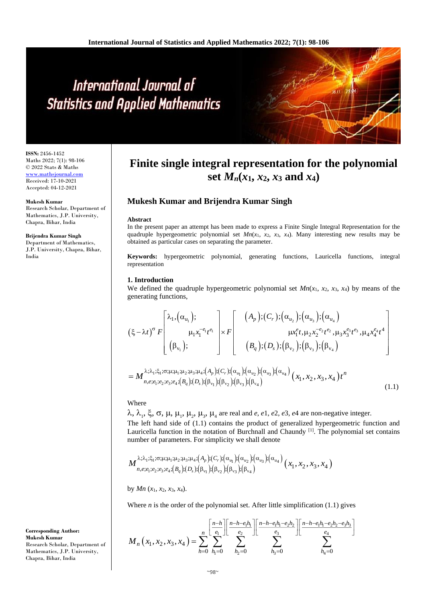# International Journal of **Statistics and Applied Mathematics**

**ISSN:** 2456-1452 Maths 2022; 7(1): 98-106 © 2022 Stats & Maths <www.mathsjournal.com> Received: 17-10-2021 Accepted: 04-12-2021

## **Mukesh Kumar**

Research Scholar, Department of Mathematics, J.P. University, Chapra, Bihar, India

#### **Brijendra Kumar Singh**

Department of Mathematics, J.P. University, Chapra, Bihar, India

#### **Corresponding Author: Mukesh Kumar** Research Scholar, Department of Mathematics, J.P. University, Chapra, Bihar, India

## **Finite single integral representation for the polynomial**  set  $M_n(x_1, x_2, x_3 \text{ and } x_4)$

## **Mukesh Kumar and Brijendra Kumar Singh**

## **Abstract**

In the present paper an attempt has been made to express a Finite Single Integral Representation for the quadruple hypergeometric polynomial set  $Mn(x_1, x_2, x_3, x_4)$ . Many interesting new results may be obtained as particular cases on separating the parameter.

**Keywords:** hypergeometric polynomial, generating functions, Lauricella functions, integral representation

## **1. Introduction**

We defined the quadruple hypergeometric polynomial set  $Mn(x_1, x_2, x_3, x_4)$  by means of the generating functions,

$$
(\xi - \lambda t)^{\sigma} F\left[\begin{array}{c} \lambda_{1}, (\alpha_{u_{1}}); \\ \mu_{1}x_{1}^{-e_{1}}t^{\epsilon_{1}} \\ (\beta_{v_{1}}); \end{array}\right] \times F\left[\begin{array}{c} (A_{p}); (C_{r}); (\alpha_{u_{2}}); (\alpha_{u_{3}}); (\alpha_{u_{4}}) \\ \mu x_{1}^{e}t, \mu_{2}x_{2}^{-e_{2}}t^{\epsilon_{2}}, \mu_{3}x_{3}^{e_{3}}t^{\epsilon_{3}}, \mu_{4}x_{4}^{e_{4}}t^{\epsilon_{4}} \\ (B_{q}); (D_{s}); (\beta_{v_{2}}); (\beta_{v_{3}}); (\beta_{v_{4}}) \end{array}\right]
$$

$$
= M_{n,e; e_{1}; e_{2}; e_{3}; e_{4}; (\beta_{q}); (\beta_{v_{1}}); (\beta_{v_{2}}); (\beta_{v_{3}}); (\alpha_{u_{4}})} (\alpha_{u_{4}}) (\alpha_{u_{4}}) (\alpha_{u_{1}}, \alpha_{u_{2}}, \alpha_{u_{3}}, \alpha_{u_{4}}) t^{n}
$$

## Where

 $\lambda$ ,  $\lambda_1$ ,  $\xi$ ,  $\sigma$ ,  $\mu$ ,  $\mu_1$ ,  $\mu_2$ ,  $\mu_3$ ,  $\mu_4$  are real and *e*, *e*1, *e*2, *e*3, *e*4 are non-negative integer.

The left hand side of (1.1) contains the product of generalized hypergeometric function and Lauricella function in the notation of Burchnall and Chaundy [1]. The polynomial set contains number of parameters. For simplicity we shall denote

(1.1)

$$
M_{n,e;e_1;e_2;e_3;e_4;(B_q);(D_s);(\beta_{v_1});(\beta_{v_2});(\beta_{v_3}):(\alpha_{u_1});(\alpha_{u_2});(\alpha_{u_3});(\alpha_{u_4})}_{(N_e;e_1;e_2;e_3;e_4;(B_q);(D_s);(\beta_{v_1});(\beta_{v_2});(\beta_{v_3});(\beta_{v_4})}(x_1,x_2,x_3,x_4)
$$

 $\left(B_q\right); (D_s); (\beta_{v_1}); (\beta_{v_2}); (\beta_{v_3}); (\beta_{v_4})$ 

,e;e<sub>1</sub>;e<sub>2</sub>;e<sub>3</sub>;e<sub>4</sub>;( $B_q$ );( $D_s$ );( $p_{v_1}$ );( $p_{v_2}$ );( $p_{v_3}$ );( $p_{v_4}$ 

by  $Mn(x_1, x_2, x_3, x_4)$ .

Where  $n$  is the order of the polynomial set. After little simplification  $(1.1)$  gives

$$
M_{n}(x_{1}, x_{2}, x_{3}, x_{4}) = \sum_{h=0}^{n} \sum_{h_{1}=0}^{\left[\frac{n-h}{e_{1}}\right]} \sum_{h_{2}=0}^{\left[\frac{n-h-e_{1}h_{1}-e_{2}h_{2}}{e_{2}}\right]} \sum_{h_{3}=0}^{\left[\frac{n-h-e_{1}h_{1}-e_{2}h_{2}}{e_{3}}\right]} \sum_{h_{4}=0}^{\left[\frac{n-h-e_{1}h_{1}-e_{2}h_{2}-e_{3}h_{3}}{e_{4}}\right]}
$$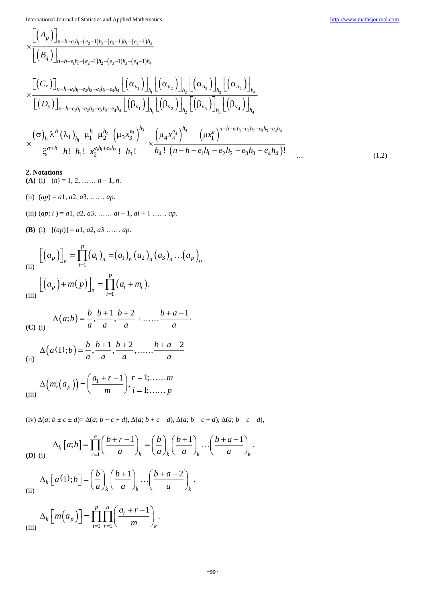$$
\times \frac{\left[ (A_{p}) \right]_{n-h-e_{1}h_{1}-(e_{2}-1)h_{2}-(e_{3}-1)h_{3}-(e_{4}-1)h_{4}} \times \frac{\left[ (B_{q}) \right]_{n-h-e_{1}h_{1}-(e_{2}-1)h_{2}-(e_{3}-1)h_{3}-(e_{4}-1)h_{4}} \times \frac{\left[ (C_{r}) \right]_{n-h-e_{1}h_{1}-e_{2}h_{2}-e_{3}h_{3}-e_{4}h_{4} \left[ (\alpha_{u_{1}}) \right]_{h_{1}} \left[ (\alpha_{u_{2}}) \right]_{h_{2}} \left[ (\alpha_{u_{3}}) \right]_{h_{3}} \left[ (\alpha_{u_{4}}) \right]_{h_{4}} \times \frac{\left[ (D_{s}) \right]_{n-h-e_{1}h_{1}-e_{2}h_{2}-e_{3}h_{3}-e_{4}h_{4} \left[ (\beta_{v_{1}}) \right]_{h_{1}} \left[ (\beta_{v_{2}}) \right]_{h_{2}} \left[ (\beta_{v_{3}}) \right]_{h_{3}} \left[ (\beta_{v_{4}}) \right]_{h_{4}} \times \frac{(\sigma)_{h} \lambda^{h} (\lambda_{1})_{h_{1}} \mu_{1}^{h_{1}} \mu_{2}^{h_{2}} \left( \mu_{3} x_{3}^{e_{3}} \right)^{h_{3}} \times \frac{\left( \mu_{4} x_{4}^{e_{4}} \right)^{h_{4}} \left( \mu x_{1}^{e} \right)^{n-h-e_{1}h_{1}-e_{2}h_{2}-e_{3}h_{3}-e_{4}h_{4}} \times \frac{\left( \sigma^{2} h_{1} h_{1} \right)_{h_{1}} \mu_{1}^{h_{1}} \mu_{2}^{h_{2}} \left( \mu x_{2}^{e_{3}} \right)^{h_{3}} \times \frac{\left( \mu_{4} x_{4}^{e_{4}} \right)^{h_{4}} \left( \mu x_{1}^{e} \right)^{n-h-e_{1}h_{1}-e_{2}h_{2}-e_{3}h_{3}-e_{4}h_{4}} \times \frac{\left( \sigma^{2} h_{1} h_{1} \right)_{h_{1}} \mu_{2}^{h_{1} h_{2}} \left( \mu x_{2}^{e_{4}} \right)_{h_{3}} \times \frac{\left( \mu x_{1}^{e_{4}} \right)_{h_{4}} \
$$

**2. Notations**

- **(A)** (i)  $(n) = 1, 2, \ldots, n-1, n$ .
- (ii) (*ap*) = *a*1, *a*2, *a*3, …… *ap*.
- (iii) (*ap*; *i* ) = *a*1, *a*2, *a*3, …… *ai*  1, *ai* + 1 …… *ap*.
- **(B)** (i) [(*ap*)] = *a*1, *a*2, *a*3 …… *ap*.

(ii)  
\n(iii)  
\n
$$
\left[ \left( a_p \right) \right]_n = \prod_{i=1}^p \left( a_i \right)_n = \left( a_1 \right)_n \left( a_2 \right)_n \left( a_3 \right)_n \dots \left( a_p \right)_n
$$
\n
$$
\left[ \left( a_p \right) + m(p) \right]_n = \prod_{i=1}^p \left( a_i + m_i \right).
$$

(C) (i) 
$$
\Delta(a;b) = \frac{b}{a}, \frac{b+1}{a}, \frac{b+2}{a} + \dots + \frac{b+a-1}{a}.
$$

(ii) 
$$
\Delta(a(1);b) = \frac{b}{a}, \frac{b+1}{a}, \frac{b+2}{a}, \dots, \frac{b+a-2}{a}
$$

(iii) 
$$
\Delta(m;(a_p)) = \left(\frac{a_1 + r - 1}{m}\right), \, \begin{matrix} r = 1, \dots, m \\ i = 1, \dots, p \end{matrix}
$$

(iv)  $\Delta(a; b \pm c \pm d) = \Delta(a; b + c + d), \Delta(a; b + c - d), \Delta(a; b - c + d), \Delta(a; b - c - d),$ 

$$
\Delta_k [a;b] = \prod_{r=1}^a \left(\frac{b+r-1}{a}\right)_k = \left(\frac{b}{a}\right)_k \left(\frac{b+1}{a}\right)_k \cdots \left(\frac{b+a-1}{a}\right)_k.
$$

(ii) 
$$
\Delta_k \left[ a(1); b \right] = \left( \frac{b}{a} \right)_k \left( \frac{b+1}{a} \right)_k \cdots \left( \frac{b+a-2}{a} \right)_k.
$$

$$
\Delta_k \left[ m \left( a_p \right) \right] = \prod_{i=1}^p \prod_{r=1}^a \left( \frac{a_i + r - 1}{m} \right)_k.
$$

 $\left($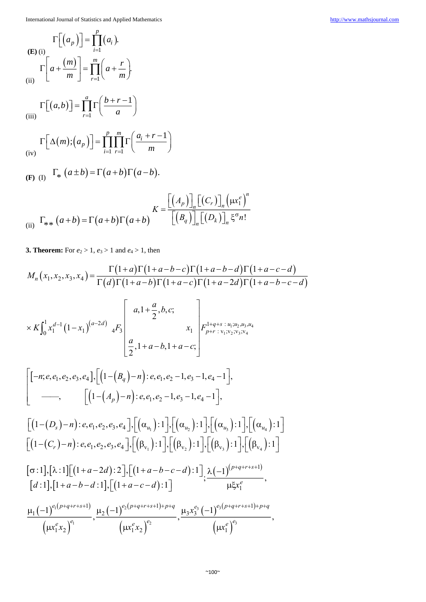(E) (i)  
\n
$$
\Gamma\left[\left(a_{p}\right)\right] = \prod_{i=1}^{p} \left(a_{i}\right).
$$
\n
$$
\Gamma\left[a + \frac{\left(m\right)}{m}\right] = \prod_{r=1}^{m} \left(a + \frac{r}{m}\right).
$$

(iii)

 $(a,b)$ 

,

$$
\Gamma\left[\Delta(m); \left(a_p\right)\right] = \prod_{i=1}^p \prod_{r=1}^m \Gamma\left(\frac{a_i + r - 1}{m}\right)
$$

$$
(F) (I) \quad \Gamma_* (a \pm b) = \Gamma(a+b) \Gamma(a-b).
$$

1

*a*

*r*  $(a,b)$ <sup> $=$ </sup> $\prod_{r}$  $\left( \frac{b+r}{q} \right)$  $\Gamma[(a,b)] = \prod_{r=1}^{a} \Gamma\left(\frac{b+r-1}{a}\right)$ 

(ii) 
$$
\Gamma_{**}(a+b) = \Gamma(a+b)\Gamma(a+b)
$$

$$
K = \frac{\left[ (A_p) \right]_n \left[ (C_r) \right]_n \left( \mu x_1^e \right)^n}{\left[ \left( B_q \right) \right]_n \left[ (D_k) \right]_n \xi^{\sigma} n!}
$$

1

**3. Theorem:** For  $e_2 > 1$ ,  $e_3 > 1$  and  $e_4 > 1$ , then

$$
M_{n}(x_{1},x_{2},x_{3},x_{4}) = \frac{\Gamma(1+a)\Gamma(1+a-b-c)\Gamma(1+a-b-d)\Gamma(1+a-c-d)}{\Gamma(d)\Gamma(1+a-b)\Gamma(1+a-c)\Gamma(1+a-2d)\Gamma(1+a-b-c-d)}
$$
  
\n
$$
\times K\int_{0}^{1} x_{1}^{d-1}(1-x_{1})^{(a-2d)} \, {}_{4}F_{3}\left[\begin{array}{c} a_{1}1+\frac{a}{2},b_{2};\\ a_{2}1+a-b_{1}1+a-c;\\ \frac{a}{2},1+a-b_{1}1+a-c; \end{array}\right]_{r_{1}^{1+q+s}:u_{1}u_{2}u_{3}u_{4}}^{r_{1}^{1+q+s}:u_{1}u_{2}u_{3}u_{4}}\right]
$$
  
\n
$$
= \left[\begin{bmatrix} -n;e,e_{1},e_{2},e_{3},e_{4}\end{bmatrix},\left[\begin{bmatrix} (1-(B_{q})-n):e,e_{1},e_{2}-1,e_{3}-1,e_{4}-1\\ (1-(A_{p})-n):e,e_{1},e_{2}-1,e_{3}-1,e_{4}-1 \end{bmatrix},\left[\begin{bmatrix} (1-(D_{s})-n):e,e_{1},e_{2},e_{3},e_{4}\end{bmatrix},\left[\begin{bmatrix} (\alpha_{u_{1}}):1\\ (\alpha_{u_{2}}):1 \end{bmatrix},\left[\begin{bmatrix} (\alpha_{u_{3}}):1\\ (\alpha_{u_{3}}):1 \end{bmatrix},\left[\begin{bmatrix} (\alpha_{u_{4}}):1\\ (\alpha_{u_{4}}):1 \end{bmatrix},\left[\begin{bmatrix} (\alpha_{u_{4}}):1\\ (\alpha_{u_{4}}):1 \end{bmatrix},\left[\begin{bmatrix} (\alpha_{u_{4}}):1\\ (\alpha_{u_{4}}):1 \end{bmatrix},\left[\begin{bmatrix} (\alpha_{u_{4}}):1\\ (\alpha_{u_{4}}):1 \end{bmatrix},\left[\begin{bmatrix} (\alpha_{u_{4}}):1\\ (\alpha_{u_{4}}):1 \end{bmatrix},\left[\begin{bmatrix} (\alpha_{u_{4}}):1\\ (\alpha_{u_{4}}):1 \end{bmatrix},\left[\begin{bmatrix} (\alpha_{u_{4}}):1\\ (\alpha_{u_{4}}):1 \end{bmatrix},\left[\begin{bmatrix} (\alpha_{u_{4}}):1\\ (\alpha_{u_{4}}):1 \end{bmatrix},\left[\begin{bmatrix} (\alpha_{u_{4
$$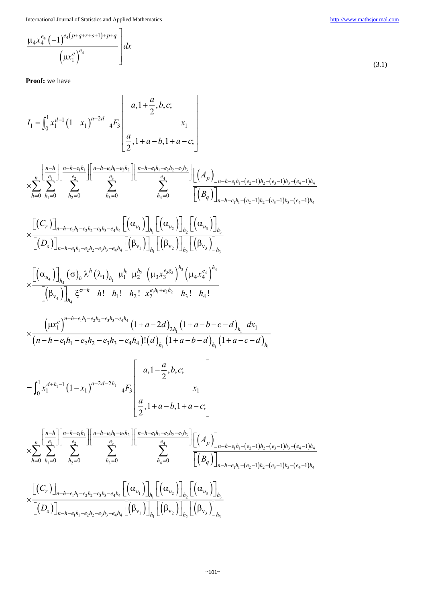$$
\frac{\mu_{4}x_{4}^{e_{4}}(-1)^{e_{4}(p+q+r+s+1)+p+q}}{\left(\mu x_{1}^{e}\right)^{e_{4}}}\Bigg]dx
$$

**Proof:** we have

 1 1 2 1 1 1 4 3 1 <sup>0</sup> ,1 , , ; 2 1 ,1 ,1 ; 2 *d a d a a b c I x x F x a a b a c* 1 1 1 1 2 2 1 1 2 2 3 3 1 2 4 3 1 1 2 2 3 3 4 4 1 2 3 4 1 1 2 2 3 3 4 4 1 1 1 0 0 0 0 0 1 1 1 *n h n h e h n h e h e h n h e h e h e h <sup>n</sup> e e e <sup>e</sup> p n h e h e h e h e h h h h h h <sup>q</sup> n h e h e h e h e h A B* 1 2 3 1 1 2 2 3 3 4 4 <sup>123</sup> 1 2 3 1 1 2 2 3 3 4 4 <sup>123</sup> v v v *r u u u n h e h e h e h e h h h h <sup>s</sup> n h e h e h e h e h h h h C D* 3 4 1 2 4 3 3 <sup>4</sup> <sup>1</sup> 4 1 1 2 2 4 4 1 1 2 3 3 4 4 +v 1 2 2 3 4 ! ! ! ! ! *h h h h h e e g <sup>u</sup> h h <sup>h</sup> h e h e h h x x h h h x h h* 1 1 2 2 3 3 4 4 1 1 1 1 1 1 1 2 1 1 2 2 3 3 4 4 1 2 1 ! 1 1 *n h e h e h e h e h e h h h h h x a d a b c d dx n h e h e h e h e h d a b d a c d* 1 1 <sup>1</sup> <sup>1</sup> 2 2 1 1 4 3 1 <sup>0</sup> ,1 , , ; 2 1 ,1 ,1 ; 2 *d h a d h a a b c x x F x a a b a c* 1 1 1 1 2 2 1 1 2 2 3 3 1 2 4 3 1 1 2 2 3 3 4 4 1 2 3 4 1 1 2 2 3 3 4 4 1 1 1 0 0 0 0 0 1 1 1 *n h n h e h n h e h e h n h e h e h e h <sup>n</sup> e e e <sup>e</sup> p n h e h e h e h e h h h h h h <sup>q</sup> n h e h e h e h e h A B* 1 2 3 1 1 2 2 3 3 4 4 <sup>123</sup> 1 2 3 1 1 2 2 3 3 4 4 <sup>123</sup> v v v *r u u u n h e h e h e h e h h h h <sup>s</sup> n h e h e h e h e h h h h C D*

(3.1)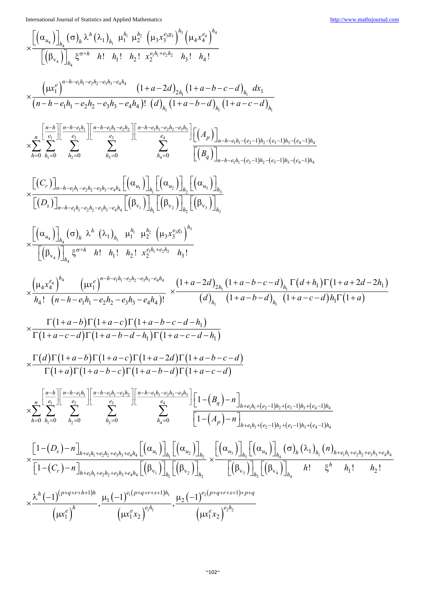$$
\begin{split} &\times \frac{\left[ \left( \alpha_{i_{0}} \right) \right]_{h_{1}} \left( \sigma \right)_{h_{1}} \chi^h \left( \lambda_{1} \right)_{h_{1}} \mu_{1}^{h_{1}} \mu_{2}^{h_{2}} \left( \mu_{3} x_{3}^{e_{3} h_{1}} \right)_{h_{2}} \left( \mu_{4} x_{4}^{e_{4}} \right)_{h_{1}} \\ &\times \frac{\left( \left( \mu x_{1}^{e} \right) \right)_{h_{1}} \xi^{\sigma+h} - \left( \mu h_{1}^{e} \right) \left( \mu h_{2}^{e} \right) \left( \mu h_{3}^{e} \right)_{h_{1}} \left( \mu h_{2}^{e} \right)_{h_{2}} \left( \mu h_{3}^{e} \right)_{h_{1}} }{ \left( \mu - h - e_{1} h_{1} - e_{2} h_{2} - e_{2} h_{3} - e_{3} h_{3} \right) \left( d \right)_{h_{1}} \left( 1 + a - b - c - d \right)_{h_{1}} \left( 1 + a - c - d \right)_{h_{1}} \\ &\times \frac{\pi}{h_{1}} \sum_{h_{1}=0}^{a - b_{1}} \sum_{h_{2}=0}^{a - b_{1}} \sum_{h_{1}=0}^{a - b_{1}} \sum_{h_{1}=0}^{a - b_{1} b_{1} - e_{2} h_{2} - e_{2} h_{2}} \left[ \left( \mu_{2} \right) \right]_{h_{1}+a - b - d_{1}} \left( \mu_{2} - \mu_{2} \right)_{h_{2} - (c_{2}-1) h_{2} - (c_{2}-1) h_{1}} \\ &\times \sum_{h=0}^{a - b_{1}} \sum_{h_{1}=0}^{a - b_{1}} \sum_{h_{2}=0}^{a - b_{1}} \sum_{h_{1}=0}^{a - b_{1} b_{1} - e_{2} h_{1}} \sum_{h_{1}=0}^{a - b_{1} b_{1} - e_{2} h_{1}} \left[ \left( \mu h_{1} \right) \right]_{h_{1}} \left[ \left( \mu h_{2} \right) \right]_{h_{1}} \left[ \left( \mu h_{2} \right) \right]_{h_{1}} \left[ \left( \mu h_{2} \right) \right]_{h_{2}} \\ &\times \left[ \left( \mu_{
$$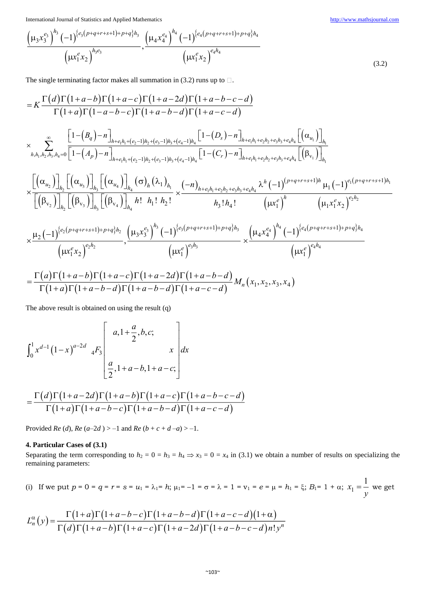$$
\frac{\left(\mu_{3} x_{3}^{e_{3}}\right)^{h_{3}} (-1)^{\left\{e_{3}\left(p+q+r+s+1\right)+p+q\right\}h_{3}}}{\left(\mu x_{1}^{e} x_{2}\right)^{h_{3}e_{3}}}, \frac{\left(\mu_{4} x_{4}^{e_{4}}\right)^{h_{4}} (-1)^{\left\{e_{4}\left(p+q+r+s+1\right)+p+q\right\}h_{4}}}{\left(\mu x_{1}^{e} x_{2}\right)^{e_{4}h_{4}}}
$$
\n(3.2)

The single terminating factor makes all summation in (3.2) runs up to  $\Box$ .

$$
= K \frac{\Gamma(d)\Gamma(1+a-b)\Gamma(1+a-c)\Gamma(1+a-2d)\Gamma(1+a-b-c-d)}{\Gamma(1+a)\Gamma(1-a-b-c)\Gamma(1+a-b-d)\Gamma(1+a-c-d)} \times \sum_{h,h_1,h_2,h_3,h_4=0}^{\infty} \frac{\left[1-(B_q)-n\right]_{h+e_1h_1+(e_2-1)h_2+(e_3-1)h_3+(e_4-1)h_4}\left[1-(D_s)-n\right]_{h+e_1h_1+e_2h_2+e_3h_3+e_4h_4}\left[\left(\alpha_{u_1}\right)\right]_{h_1}}{\left(h_1h_1h_2,h_3,h_4=0\left[1-(A_p)-n\right]_{h+e_1h_1+(e_2-1)h_2+(e_3-1)h_3+(e_4-1)h_4}\left[1-(C_r)-n\right]_{h+e_1h_1+e_2h_2+e_3h_3+e_4h_4}\left[\left(\beta_{v_1}\right)\right]_{h_1}}\right]}{\times \frac{\left[\left(\alpha_{u_2}\right)\right]_{h_2}\left[\left(\alpha_{u_3}\right)\right]_{h_3}\left[\left(\alpha_{u_4}\right)\right]_{h_4}\left(\sigma\right)_{h_1}\left(\lambda_1\right)_{h_1}}{h_1\left(h_2\left(h_3\right)\right)_{h_3}\left[\left(\beta_{v_4}\right)\right]_{h_4}h_1\left(h_1\right)h_2} \times \frac{(-n)_{h+e_1h_1+e_2h_2+e_3h_3+e_4h_4}\lambda^h(-1)^{(p+q+r+s+1)h}\mu_1(-1)^{e_1(p+q+r+s+1)h_1}}{\left(\mu x_1^e\right)^h}\left(\mu x_1^e\lambda_2\right)^{e_2h_2} \times \frac{\mu_2(-1)^{\{e_2(p+q+r+s+1)+p+q\}h_2}}{\left(\mu x_1^e\lambda_2\right)^{e_2h_2}}\left(\mu x_1^e\lambda_2\right)^{h_3}\left(\mu x_1^e\lambda_2\right)^{h_3} \times \frac{\left(\mu x_1^e\lambda_2^e\right)^{h_4}\left(\mu x_1^e\lambda_2^e\right)^{h_4}}{\left(\mu x_1^e\lambda_2\
$$

*M*  $(x_1, x_2, x_3, x_4)$ 

The above result is obtained on using the result (q)

$$
\int_0^1 x^{d-1} (1-x)^{a-2d} \, dF_3 \left[ \begin{array}{c} a, 1+\frac{a}{2}, b, c; \\ x \end{array} \right] dx
$$

$$
= \frac{\Gamma(d)\Gamma(1+a-2d)\Gamma(1+a-b)\Gamma(1+a-c)}{\Gamma(1+a)\Gamma(1+a-b-c)\Gamma(1+a-b-d)\Gamma(1+a-c-d)}
$$

 $(1+a)\Gamma(1+a-b-d)\Gamma(1+a-b-d)\Gamma(1+a-c-d)$ 

 $a \Gamma(1+a-b-d) \Gamma(1+a-b-d) \Gamma(1+a-c-d)$ 

 $(1+a)\Gamma(1+a-b-d)\Gamma(1+a-b-d)\Gamma(1+a-c-d)$   $\Gamma(1+a-c-d)$ 

Provided *Re* (*d*), *Re* (*a*–2*d*) > –1 and *Re* (*b* + *c* + *d* –*a*) > –1.

## **4. Particular Cases of (3.1)**

Separating the term corresponding to  $h_2 = 0 = h_3 = h_4 \Rightarrow x_3 = 0 = x_4$  in (3.1) we obtain a number of results on specializing the remaining parameters:

(i) If we put 
$$
p = 0 = q = r = s = u_1 = \lambda_1 = h
$$
;  $\mu_1 = -1 = \sigma = \lambda = 1 = v_1 = e = \mu = h_1 = \xi$ ;  $B_1 = 1 + \alpha$ ;  $x_1 = \frac{1}{y}$  we get

$$
L_n^{\alpha}(y) = \frac{\Gamma(1+a)\Gamma(1+a-b-c)\Gamma(1+a-b-d)\Gamma(1+a-c-d)(1+\alpha)}{\Gamma(d)\Gamma(1+a-b)\Gamma(1+a-c)\Gamma(1+a-2d)\Gamma(1+a-b-c-d)n!y^n}
$$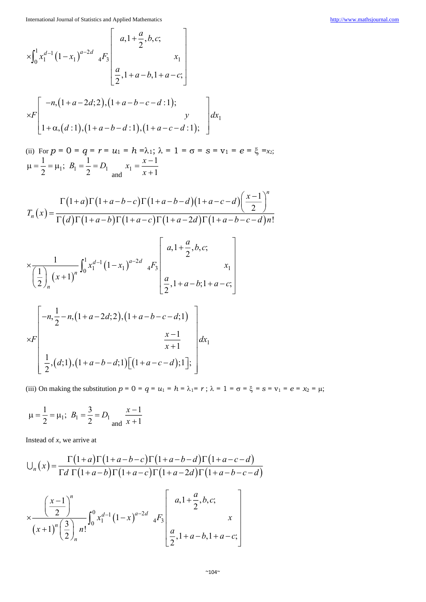$$
\times \int_0^1 x_1^{d-1} (1-x_1)^{a-2d} {}_{4}F_3 \begin{bmatrix} a, 1+\frac{a}{2}, b, c; \\ x_1 \\ \frac{a}{2}, 1+a-b, 1+a-c; \end{bmatrix}
$$
  
\n
$$
\times F \begin{bmatrix} -n, (1+a-2d; 2), (1+a-b-c-d; 1); \\ 1+\alpha, (d; 1), (1+a-b-d; 1), (1+a-c-d; 1); \end{bmatrix} dx_1
$$

(ii) For  $p = 0 = q = r = u_1 = h = \lambda_1$ ;  $\lambda = 1 = \sigma = s = v_1 = e = \xi = x_2$ ;  $\mu = \frac{1}{2} = \mu_1$ 1  $\frac{1}{2} = \mu_1; \ \ B_1 = \frac{1}{2} = D_1$ 1 2  $B_1 = -D$ and  $\frac{x}{1} = \frac{x}{x+1}$ 1 1  $x_1 = \frac{x}{x}$ *x*

 $\begin{bmatrix} a & a \\ a & b \end{bmatrix}$ 

$$
T_n(x) = \frac{\Gamma(1+a)\Gamma(1+a-b-c)\Gamma(1+a-b-d)(1+a-c-d)\left(\frac{x-1}{2}\right)^n}{\Gamma(d)\Gamma(1+a-b)\Gamma(1+a-c)\Gamma(1+a-2d)\Gamma(1+a-b-c-d)n!}
$$

$$
\times \frac{1}{\left(\frac{1}{2}\right)_n (x+1)^n} \int_0^1 x_1^{d-1} (1-x_1)^{a-2d} \, dF_3\left[\begin{array}{c} a, 1+\frac{a}{2}, b, c; \\ \frac{a}{2}, 1+a-b; 1+a-c; \end{array}\right]
$$

$$
\times F\left[\begin{array}{c}-n,\frac{1}{2}-n,(1+a-2d;2),(1+a-b-c-d;1)\\ \times F\left[\begin{array}{c}\frac{x-1}{x+1}\end{array}\right]_{\text{d}x_{1}}\end{array}\right]
$$

(iii) On making the substitution  $p = 0 = q = u_1 = h = \lambda_1 = r$ ;  $\lambda = 1 = \sigma = \xi = s = v_1 = e = x_2 = \mu$ ;

$$
\mu = \frac{1}{2} = \mu_1;
$$
  $B_1 = \frac{3}{2} = D_1 \frac{x-1}{x+1}$ 

Instead of *x*, we arrive at

$$
\bigcup_{n}(x) = \frac{\Gamma(1+a)\Gamma(1+a-b-c)\Gamma(1+a-b-d)\Gamma(1+a-c-d)}{\Gamma d \Gamma(1+a-b)\Gamma(1+a-c)\Gamma(1+a-2d)\Gamma(1+a-b-c-d)}
$$

$$
\times \frac{\left(\frac{x-1}{2}\right)^n}{\left(x+1\right)^n \left(\frac{3}{2}\right)_n n!} \int_0^0 x_1^{d-1} \left(1-x\right)^{a-2d} \left(4F_3 \left(x+1\right)^n \left(\frac{3}{2}\right)^n \right) dx
$$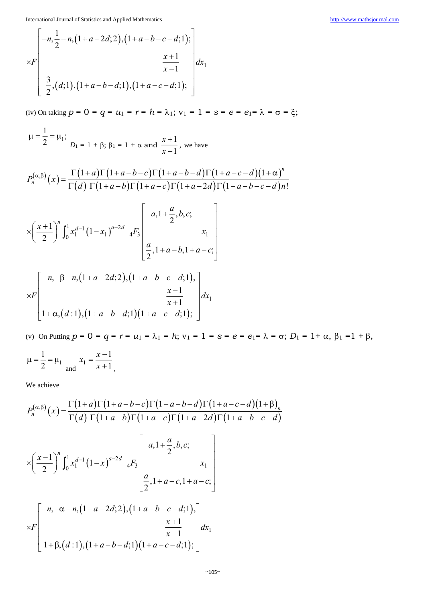$$
\times F\left[\begin{array}{c} -n, \frac{1}{2} - n, (1+a-2d; 2), (1+a-b-c-d; 1); \\ \times F\left[\begin{array}{c} x+1 \\ \frac{3}{2}, (d; 1), (1+a-b-d; 1), (1+a-c-d; 1); \end{array}\right] dx_1\right]
$$

(iv) On taking  $p = 0 = q = u_1 = r = h = \lambda_1$ ;  $v_1 = 1 = s = e = e_1 = \lambda = \sigma = \xi$ ;

$$
\mu = \frac{1}{2} = \mu_1;
$$
  
\n $D_1 = 1 + \beta; \beta_1 = 1 + \alpha \text{ and } \frac{x+1}{x-1}, \text{ we have}$ 

$$
P_n^{(\alpha,\beta)}(x) = \frac{\Gamma(1+a)\Gamma(1+a-b-c)\Gamma(1+a-b-d)\Gamma(1+a-c-d)(1+\alpha)^n}{\Gamma(d)\Gamma(1+a-b)\Gamma(1+a-c)\Gamma(1+a-2d)\Gamma(1+a-b-c-d)n!}
$$

$$
\times \left(\frac{x+1}{2}\right)^n \int_0^1 x_1^{d-1} (1-x_1)^{a-2d} \Bigg\{ x_1 + \frac{a}{2}, b, c; \Bigg\} \Bigg[ \frac{a}{2}, 1 + a - b, 1 + a - c; \Bigg] \Bigg[ -n, -\beta - n, (1 + a - 2d; 2), (1 + a - b - c - d; 1), \Bigg]
$$

$$
\times F\left[\begin{array}{c} x-1 \\ x+1 \\ 1+\alpha,(d:1),(1+a-b-d;1)(1+a-c-d;1); \end{array}\right]dx_1
$$

(v) On Putting  $p = 0 = q = r = u_1 = \lambda_1 = h$ ;  $v_1 = 1 = s = e = e_1 = \lambda = \sigma$ ;  $D_1 = 1 + \alpha$ ,  $\beta_1 = 1 + \beta$ ,

$$
\mu = \frac{1}{2} = \mu_1
$$
 and  $x_1 = \frac{x-1}{x+1}$ ,

We achieve

$$
P_n^{(\alpha,\beta)}(x) = \frac{\Gamma(1+a)\Gamma(1+a-b-c)\Gamma(1+a-b-d)\Gamma(1+a-c-d)(1+\beta)_n}{\Gamma(d)\Gamma(1+a-b)\Gamma(1+a-c)\Gamma(1+a-2d)\Gamma(1+a-b-c-d)}
$$
  

$$
\times \left(\frac{x-1}{2}\right)^n \int_0^1 x_1^{d-1} (1-x)^{a-2d} {}_{4}F_3\left[\begin{array}{c} a, 1+\frac{a}{2}, b, c; \\ x_1 \\ \frac{a}{2}, 1+a-c, 1+a-c; \end{array}\right]
$$
  

$$
\times F\left[\begin{array}{c} -n, -\alpha-n, (1-a-2d; 2), (1+a-b-c-d; 1), \\ 1+\beta, (d; 1), (1+a-b-d; 1), (1+a-c-d; 1); \end{array}\right] dx_1
$$